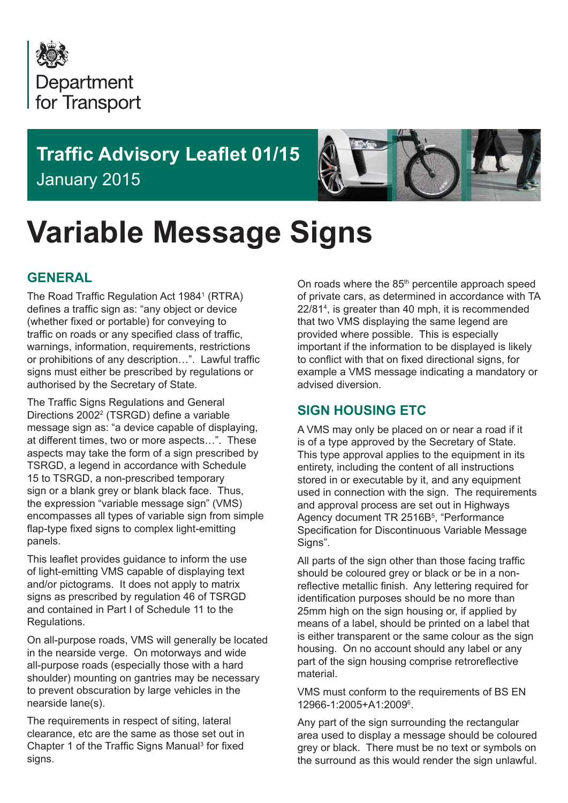

# **Traffic Advisory Leaflet 01/15** January 2015



# **Variable Message Signs**

# **GENERAL**

The Road Traffic Regulation Act 1984<sup>1</sup> (RTRA) defines a traffic sign as: "any object or device (whether fixed or portable) for conveying to traffic on roads or any specified class of traffic, warnings, information, requirements, restrictions or prohibitions of any description…". Lawful traffic signs must either be prescribed by regulations or authorised by the Secretary of State.

The Traffic Signs Regulations and General Directions 2002<sup>2</sup> (TSRGD) define a variable message sign as: "a device capable of displaying, at different times, two or more aspects…". These aspects may take the form of a sign prescribed by TSRGD, a legend in accordance with Schedule 15 to TSRGD, a non-prescribed temporary sign or a blank grey or blank black face. Thus, the expression "variable message sign" (VMS) encompasses all types of variable sign from simple flap-type fixed signs to complex light-emitting panels.

This leaflet provides guidance to inform the use of light-emitting VMS capable of displaying text and/or pictograms. It does not apply to matrix signs as prescribed by regulation 46 of TSRGD and contained in Part I of Schedule 11 to the Regulations.

On all-purpose roads, VMS will generally be located in the nearside verge. On motorways and wide all-purpose roads (especially those with a hard shoulder) mounting on gantries may be necessary to prevent obscuration by large vehicles in the nearside lane(s).

The requirements in respect of siting, lateral clearance, etc are the same as those set out in Chapter 1 of the Traffic Signs Manual<sup>3</sup> for fixed signs.

On roads where the 85<sup>th</sup> percentile approach speed of private cars, as determined in accordance with TA 22/814 , is greater than 40 mph, it is recommended that two VMS displaying the same legend are provided where possible. This is especially important if the information to be displayed is likely to conflict with that on fixed directional signs, for example a VMS message indicating a mandatory or advised diversion.

# **SIGN HOUSING ETC**

A VMS may only be placed on or near a road if it is of a type approved by the Secretary of State. This type approval applies to the equipment in its entirety, including the content of all instructions stored in or executable by it, and any equipment used in connection with the sign. The requirements and approval process are set out in Highways Agency document TR 2516B<sup>5</sup>, "Performance Specification for Discontinuous Variable Message Signs".

All parts of the sign other than those facing traffic should be coloured grey or black or be in a nonreflective metallic finish. Any lettering required for identification purposes should be no more than 25mm high on the sign housing or, if applied by means of a label, should be printed on a label that is either transparent or the same colour as the sign housing. On no account should any label or any part of the sign housing comprise retroreflective material.

VMS must conform to the requirements of BS EN 12966-1:2005+A1:20096 .

Any part of the sign surrounding the rectangular area used to display a message should be coloured grey or black. There must be no text or symbols on the surround as this would render the sign unlawful.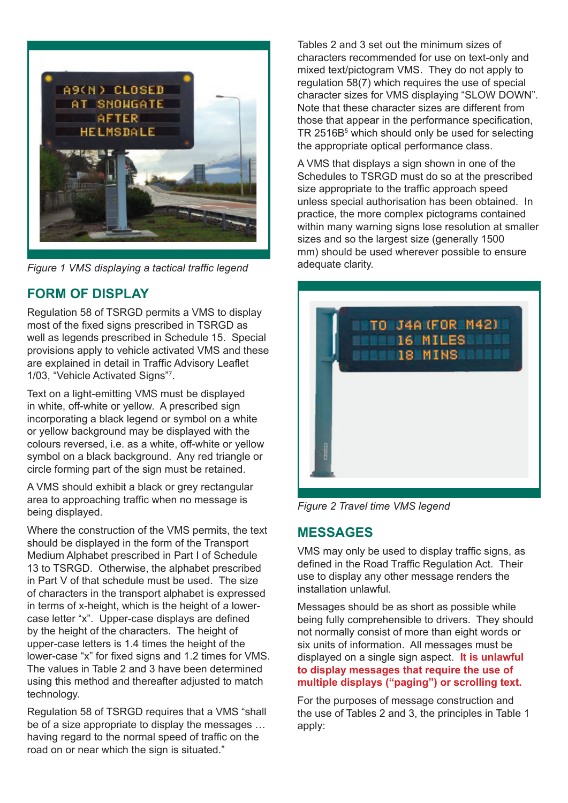

*Figure 1 VMS displaying a tactical traffic legend*

# **FORM OF DISPLAY**

Regulation 58 of TSRGD permits a VMS to display most of the fixed signs prescribed in TSRGD as well as legends prescribed in Schedule 15. Special provisions apply to vehicle activated VMS and these are explained in detail in Traffic Advisory Leaflet 1/03, "Vehicle Activated Signs"<sup>7</sup> .

Text on a light-emitting VMS must be displayed in white, off-white or yellow. A prescribed sign incorporating a black legend or symbol on a white or yellow background may be displayed with the colours reversed, i.e. as a white, off-white or yellow symbol on a black background. Any red triangle or circle forming part of the sign must be retained.

A VMS should exhibit a black or grey rectangular area to approaching traffic when no message is being displayed.

Where the construction of the VMS permits, the text should be displayed in the form of the Transport Medium Alphabet prescribed in Part I of Schedule 13 to TSRGD. Otherwise, the alphabet prescribed in Part V of that schedule must be used. The size of characters in the transport alphabet is expressed in terms of x-height, which is the height of a lowercase letter "x". Upper-case displays are defined by the height of the characters. The height of upper-case letters is 1.4 times the height of the lower-case "x" for fixed signs and 1.2 times for VMS. The values in Table 2 and 3 have been determined using this method and thereafter adjusted to match technology.

Regulation 58 of TSRGD requires that a VMS "shall be of a size appropriate to display the messages … having regard to the normal speed of traffic on the road on or near which the sign is situated."

Tables 2 and 3 set out the minimum sizes of characters recommended for use on text-only and mixed text/pictogram VMS. They do not apply to regulation 58(7) which requires the use of special character sizes for VMS displaying "SLOW DOWN". Note that these character sizes are different from those that appear in the performance specification, TR 2516B<sup>5</sup> which should only be used for selecting the appropriate optical performance class.

A VMS that displays a sign shown in one of the Schedules to TSRGD must do so at the prescribed size appropriate to the traffic approach speed unless special authorisation has been obtained. In practice, the more complex pictograms contained within many warning signs lose resolution at smaller sizes and so the largest size (generally 1500 mm) should be used wherever possible to ensure adequate clarity.



*Figure 2 Travel time VMS legend*

#### **MESSAGES**

VMS may only be used to display traffic signs, as defined in the Road Traffic Regulation Act. Their use to display any other message renders the installation unlawful.

Messages should be as short as possible while being fully comprehensible to drivers. They should not normally consist of more than eight words or six units of information. All messages must be displayed on a single sign aspect. **It is unlawful to display messages that require the use of multiple displays ("paging") or scrolling text.**

For the purposes of message construction and the use of Tables 2 and 3, the principles in Table 1 apply: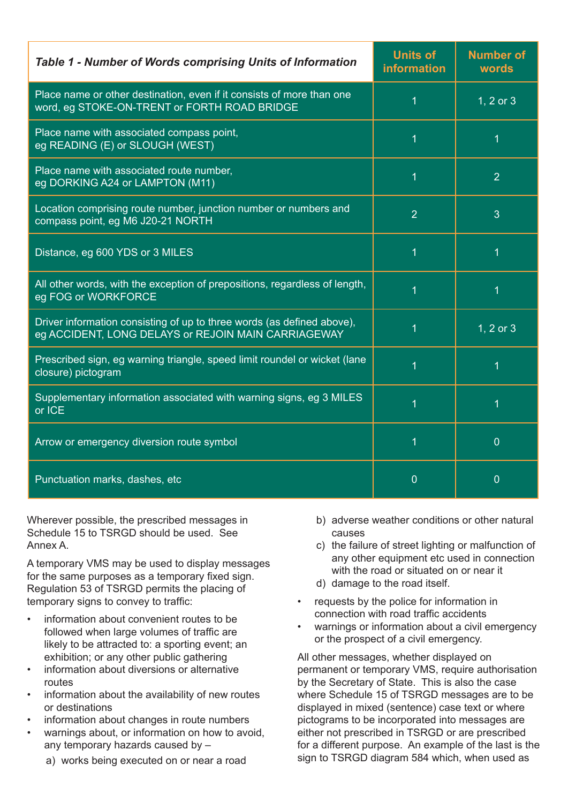| <b>Table 1 - Number of Words comprising Units of Information</b>                                                              | <b>Units of</b><br><b>information</b> | <b>Number of</b><br>words |
|-------------------------------------------------------------------------------------------------------------------------------|---------------------------------------|---------------------------|
| Place name or other destination, even if it consists of more than one<br>word, eg STOKE-ON-TRENT or FORTH ROAD BRIDGE         | 1                                     | 1, 2 or 3                 |
| Place name with associated compass point,<br>eg READING (E) or SLOUGH (WEST)                                                  | 1                                     |                           |
| Place name with associated route number,<br>eg DORKING A24 or LAMPTON (M11)                                                   | 1                                     | $\overline{2}$            |
| Location comprising route number, junction number or numbers and<br>compass point, eg M6 J20-21 NORTH                         | $\overline{2}$                        | 3                         |
| Distance, eg 600 YDS or 3 MILES                                                                                               | 1                                     | 1                         |
| All other words, with the exception of prepositions, regardless of length,<br>eg FOG or WORKFORCE                             |                                       |                           |
| Driver information consisting of up to three words (as defined above),<br>eg ACCIDENT, LONG DELAYS or REJOIN MAIN CARRIAGEWAY |                                       | 1, 2 or 3                 |
| Prescribed sign, eg warning triangle, speed limit roundel or wicket (lane<br>closure) pictogram                               |                                       |                           |
| Supplementary information associated with warning signs, eg 3 MILES<br>or ICE                                                 |                                       |                           |
| Arrow or emergency diversion route symbol                                                                                     | 1                                     | $\overline{0}$            |
| Punctuation marks, dashes, etc                                                                                                | $\overline{0}$                        | $\overline{0}$            |

Wherever possible, the prescribed messages in Schedule 15 to TSRGD should be used. See Annex A.

A temporary VMS may be used to display messages for the same purposes as a temporary fixed sign. Regulation 53 of TSRGD permits the placing of temporary signs to convey to traffic:

- information about convenient routes to be followed when large volumes of traffic are likely to be attracted to: a sporting event; an exhibition; or any other public gathering
- information about diversions or alternative routes
- information about the availability of new routes or destinations
- information about changes in route numbers
- warnings about, or information on how to avoid, any temporary hazards caused by –
- b) adverse weather conditions or other natural causes
- c) the failure of street lighting or malfunction of any other equipment etc used in connection with the road or situated on or near it
- d) damage to the road itself.
- requests by the police for information in connection with road traffic accidents
- warnings or information about a civil emergency or the prospect of a civil emergency.

All other messages, whether displayed on permanent or temporary VMS, require authorisation by the Secretary of State. This is also the case where Schedule 15 of TSRGD messages are to be displayed in mixed (sentence) case text or where pictograms to be incorporated into messages are either not prescribed in TSRGD or are prescribed for a different purpose. An example of the last is the sign to TSRGD diagram 584 which, when used as

a) works being executed on or near a road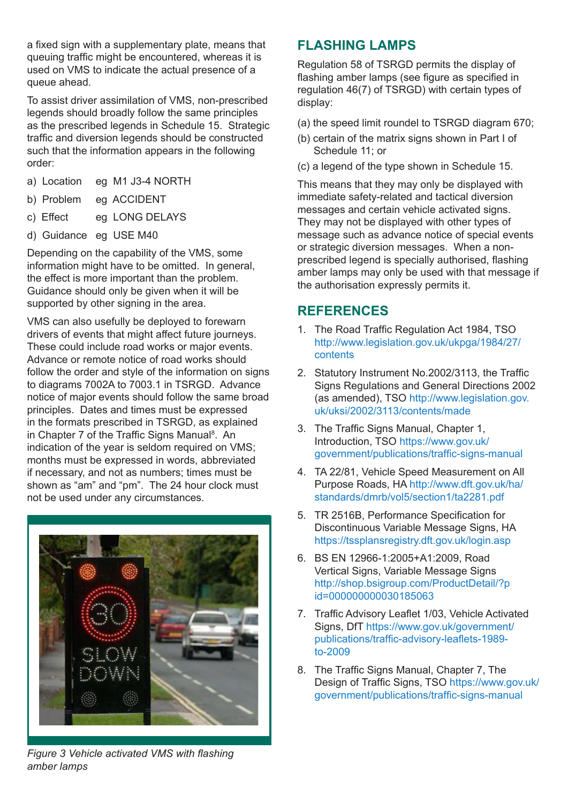a fixed sign with a supplementary plate, means that queuing traffic might be encountered, whereas it is used on VMS to indicate the actual presence of a queue ahead.

To assist driver assimilation of VMS, non-prescribed legends should broadly follow the same principles as the prescribed legends in Schedule 15. Strategic traffic and diversion legends should be constructed such that the information appears in the following order:

- a) Location eg M1 J3-4 NORTH
- b) Problem eg ACCIDENT
- c) Effect eg LONG DELAYS
- d) Guidance eg USE M40

Depending on the capability of the VMS, some information might have to be omitted. In general, the effect is more important than the problem. Guidance should only be given when it will be supported by other signing in the area.

VMS can also usefully be deployed to forewarn drivers of events that might affect future journeys. These could include road works or major events. Advance or remote notice of road works should follow the order and style of the information on signs to diagrams 7002A to 7003.1 in TSRGD. Advance notice of major events should follow the same broad principles. Dates and times must be expressed in the formats prescribed in TSRGD, as explained in Chapter 7 of the Traffic Signs Manual<sup>8</sup>. An indication of the year is seldom required on VMS; months must be expressed in words, abbreviated if necessary, and not as numbers; times must be shown as "am" and "pm". The 24 hour clock must not be used under any circumstances.



# **FLASHING LAMPS**

Regulation 58 of TSRGD permits the display of flashing amber lamps (see figure as specified in regulation 46(7) of TSRGD) with certain types of display:

- (a) the speed limit roundel to TSRGD diagram 670;
- (b) certain of the matrix signs shown in Part I of Schedule 11; or
- (c) a legend of the type shown in Schedule 15.

This means that they may only be displayed with immediate safety-related and tactical diversion messages and certain vehicle activated signs. They may not be displayed with other types of message such as advance notice of special events or strategic diversion messages. When a nonprescribed legend is specially authorised, flashing amber lamps may only be used with that message if the authorisation expressly permits it.

# **REFERENCES**

- 1. The Road Traffic Regulation Act 1984, TSO http://www.legislation.gov.uk/ukpga/1984/27/ contents
- 2. Statutory Instrument No.2002/3113, the Traffic Signs Regulations and General Directions 2002 (as amended), TSO http://www.legislation.gov. uk/uksi/2002/3113/contents/made
- 3. The Traffic Signs Manual, Chapter 1, Introduction, TSO https://www.gov.uk/ government/publications/traffic-signs-manual
- 4. TA 22/81, Vehicle Speed Measurement on All Purpose Roads, HA http://www.dft.gov.uk/ha/ standards/dmrb/vol5/section1/ta2281.pdf
- 5. TR 2516B, Performance Specification for Discontinuous Variable Message Signs, HA https://tssplansregistry.dft.gov.uk/login.asp
- 6. BS EN 12966-1:2005+A1:2009, Road Vertical Signs, Variable Message Signs http://shop.bsigroup.com/ProductDetail/?p id=000000000030185063
- 7. Traffic Advisory Leaflet 1/03, Vehicle Activated Signs, DfT https://www.gov.uk/government/ publications/traffic-advisory-leaflets-1989 to-2009
- 8. The Traffic Signs Manual, Chapter 7, The Design of Traffic Signs, TSO https://www.gov.uk/ government/publications/traffic-signs-manual

 *Figure 3 Vehicle activated VMS with flashing amber lamps*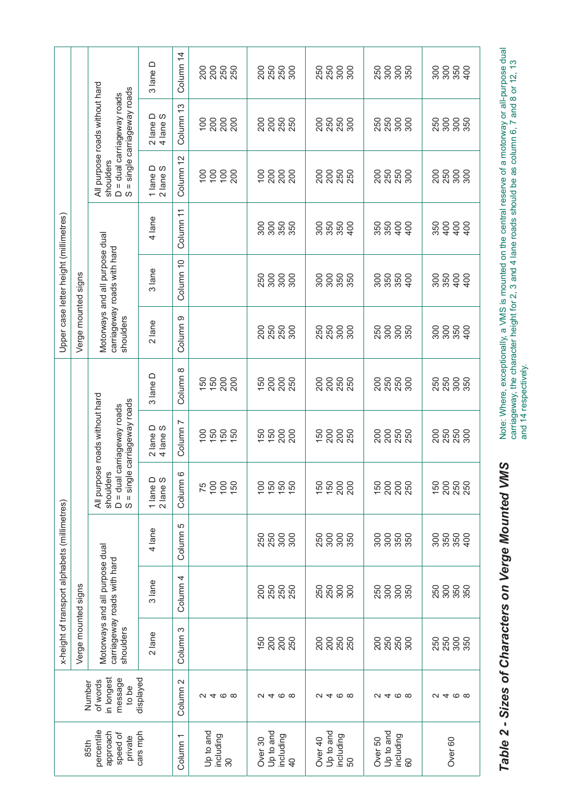|                                                                                          |                                                                                         |                                                                                              | 3 lane D                           | Column <sub>14</sub>                                            | 200<br>250<br>250<br>200               | 200<br><u>250</u><br>250                                | <u>ន</u> ិន្ទុ<br>ស្តី និន្ទុ | <u>ន</u> ីទី ខ្លួន               | 28880                    |
|------------------------------------------------------------------------------------------|-----------------------------------------------------------------------------------------|----------------------------------------------------------------------------------------------|------------------------------------|-----------------------------------------------------------------|----------------------------------------|---------------------------------------------------------|-------------------------------|----------------------------------|--------------------------|
| Upper case letter height (millimetres)                                                   |                                                                                         | All purpose roads without hard<br>= single carriageway roads<br>$D = dual carriageway reads$ | $2$ lane D<br>4 lane S             | Column <sub>13</sub>                                            | 28888                                  |                                                         | <u>ខិត្តន</u> ុទ្ធ            | <b>និន្ត</b><br>ខ្លួន ខ្លួន      | 250                      |
|                                                                                          |                                                                                         | shoulders<br>S                                                                               | 1 lane $D$<br>2 lane $S$           | Column 12                                                       | 100<br>100<br>$\overline{100}$<br>200  | 100<br>200<br>200<br>200                                | 200<br>200<br>250<br>250      | 200<br>250<br>250<br>300         | 200<br>250<br>300<br>300 |
|                                                                                          |                                                                                         |                                                                                              | 4 lane                             | Column <sub>11</sub>                                            |                                        | 300                                                     | 300<br>350<br>350<br>400      | 888<br>889<br>$rac{6}{2}$        | 400<br>350<br>400        |
|                                                                                          |                                                                                         | Motorways and all purpose dual<br>carriageway roads with hard                                | 3 lane                             | Column 10                                                       |                                        | 300<br>250<br>300<br>300                                | 300<br>300<br>350<br>350      | 300<br>350<br>350<br>$rac{1}{2}$ | 350<br>300<br>400<br>400 |
| x-height of transport alphabets (millimetres)                                            | Verge mounted signs<br>All purpose roads without hard<br>Motorways and all purpose dual | shoulders<br>S = single carriageway roads<br>D = dual carriageway roads<br>shoulders         | $2$ lane                           | Column <sub>9</sub>                                             |                                        | 250<br>280<br>300<br>200                                | នុ<br>250<br>3<br>300         | 300<br>300<br>250                | 300                      |
|                                                                                          |                                                                                         |                                                                                              | 3 lane D                           | Column 8                                                        | $150$<br>$200$<br>150<br>200           | 200<br>150<br>250                                       | 200<br>200<br>250<br>250      | 250<br>250<br>200<br>300         | 250<br>300<br>250<br>350 |
|                                                                                          |                                                                                         |                                                                                              | 2 lane D<br>4 lane S               | Column <sub>7</sub>                                             | $150$<br>$150$<br>100                  | 150<br>200<br>150<br>200                                | 200<br>200<br>150<br>250      | 200<br>250<br>250<br>200         | 200<br>250<br>250<br>300 |
|                                                                                          |                                                                                         |                                                                                              | 1 lane $D$<br>2 lane $S$           | Column 6                                                        | 75                                     | 50<br>50<br>50<br>50<br>100                             | 150<br>200<br>150<br>200      | 150<br>200<br>200<br>250         | 150<br>200<br>250<br>250 |
|                                                                                          |                                                                                         |                                                                                              | 4 lane                             | Column 5                                                        |                                        | $\begin{array}{c} 300 \\ 300 \end{array}$<br>250<br>250 | 250<br>300<br>350             | 300<br>300<br>350<br>350         | 300<br>350<br>350<br>400 |
|                                                                                          |                                                                                         |                                                                                              | carriageway roads with hard        | 3 lane                                                          | Column <sub>4</sub>                    |                                                         | នុន<br>2 នុន្ទ<br>2 ន<br>200  | <u>ន</u> ្លួន ន្ល                | 300<br>300<br>250        |
|                                                                                          | Verge mounted signs                                                                     | shoulders                                                                                    | $2$ lane                           | Column <sub>3</sub>                                             |                                        | 200<br>200<br>150                                       | <u>ន</u> ្តន្ត្រីន្ត          | <u>ខ្លួន ន</u> ុទ្ធ              | 250<br>250<br>300<br>350 |
| in longest<br>displayed<br>message<br>of words<br>Number<br>to be                        |                                                                                         |                                                                                              | Column <sub>2</sub>                | $Q \neq Q$                                                      | $\omega$ 4 $\infty$                    | $Q \neq Q$                                              | $\alpha$ 4 $\infty$ $\infty$  | a 4 @ @                          |                          |
| percentile<br>cars mph<br>approach<br>speed of<br>Column <sub>1</sub><br>private<br>85th |                                                                                         |                                                                                              | Up to and<br>including<br>$\infty$ | Up to and<br>including<br>Over <sub>30</sub><br>$\overline{40}$ | Up to and<br>including<br>Over 40<br>8 | Up to and<br>including<br>Over 50<br>8                  | Over <sub>60</sub>            |                                  |                          |

Note: Where, exceptionally, a VMS is mounted on the central reserve of a motorway or all-purpose dual<br>carriageway, the character height for 2, 3 and 4 lane roads should be as column 6, 7 and 8 or 12, 13<br>and 14 respectively Note: Where, exceptionally, a VMS is mounted on the central reserve of a motorway or all-purpose dual carriageway, the character height for 2, 3 and 4 lane roads should be as column 6, 7 and 8 or 12, 13 and 14 respectively.

Table 2 - Sizes of Characters on Verge Mounted VMS  *Table 2 - Sizes of Characters on Verge Mounted VMS*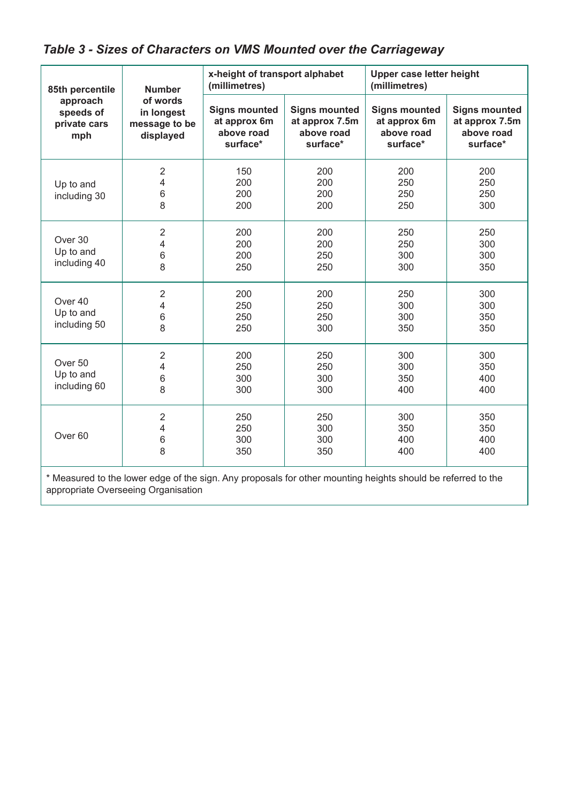| 85th percentile                                 | <b>Number</b>                                        | x-height of transport alphabet<br>(millimetres)                |                                                                  | Upper case letter height<br>(millimetres)                      |                                                                  |
|-------------------------------------------------|------------------------------------------------------|----------------------------------------------------------------|------------------------------------------------------------------|----------------------------------------------------------------|------------------------------------------------------------------|
| approach<br>speeds of<br>private cars<br>mph    | of words<br>in longest<br>message to be<br>displayed | <b>Signs mounted</b><br>at approx 6m<br>above road<br>surface* | <b>Signs mounted</b><br>at approx 7.5m<br>above road<br>surface* | <b>Signs mounted</b><br>at approx 6m<br>above road<br>surface* | <b>Signs mounted</b><br>at approx 7.5m<br>above road<br>surface* |
| Up to and<br>including 30                       | $\overline{2}$<br>4<br>$\,6$<br>8                    | 150<br>200<br>200<br>200                                       | 200<br>200<br>200<br>200                                         | 200<br>250<br>250<br>250                                       | 200<br>250<br>250<br>300                                         |
| Over 30<br>Up to and<br>including 40            | $\overline{2}$<br>4<br>6<br>8                        | 200<br>200<br>200<br>250                                       | 200<br>200<br>250<br>250                                         | 250<br>250<br>300<br>300                                       | 250<br>300<br>300<br>350                                         |
| Over 40<br>Up to and<br>including 50            | $\sqrt{2}$<br>4<br>6<br>8                            | 200<br>250<br>250<br>250                                       | 200<br>250<br>250<br>300                                         | 250<br>300<br>300<br>350                                       | 300<br>300<br>350<br>350                                         |
| Over <sub>50</sub><br>Up to and<br>including 60 | $\sqrt{2}$<br>4<br>6<br>8                            | 200<br>250<br>300<br>300                                       | 250<br>250<br>300<br>300                                         | 300<br>300<br>350<br>400                                       | 300<br>350<br>400<br>400                                         |
| Over <sub>60</sub>                              | $\overline{2}$<br>4<br>$\,6$<br>8                    | 250<br>250<br>300<br>350                                       | 250<br>300<br>300<br>350                                         | 300<br>350<br>400<br>400                                       | 350<br>350<br>400<br>400                                         |

\* Measured to the lower edge of the sign. Any proposals for other mounting heights should be referred to the appropriate Overseeing Organisation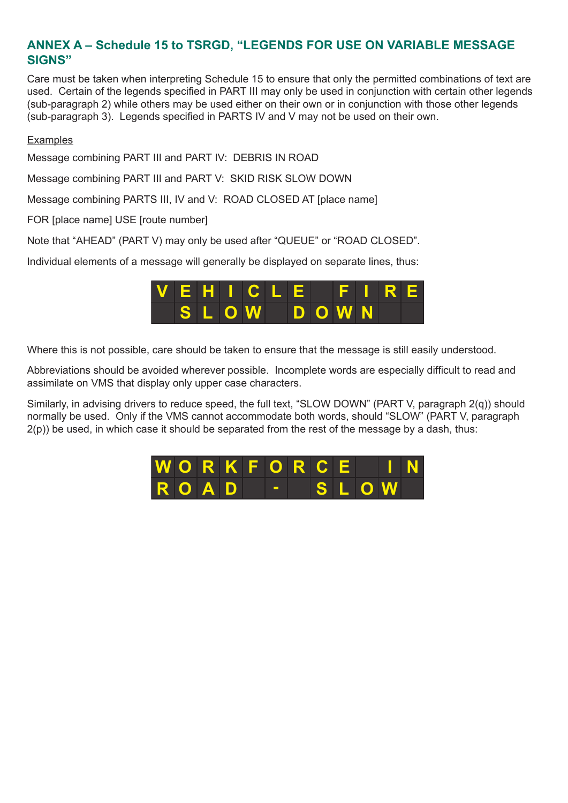# **ANNEX A – Schedule 15 to TSRGD, "LEGENDS FOR USE ON VARIABLE MESSAGE SIGNS"**

Care must be taken when interpreting Schedule 15 to ensure that only the permitted combinations of text are used. Certain of the legends specified in PART III may only be used in conjunction with certain other legends (sub-paragraph 2) while others may be used either on their own or in conjunction with those other legends (sub-paragraph 3). Legends specified in PARTS IV and V may not be used on their own.

#### **Examples**

Message combining PART III and PART IV: DEBRIS IN ROAD

Message combining PART III and PART V: SKID RISK SLOW DOWN

Message combining PARTS III, IV and V: ROAD CLOSED AT [place name]

FOR [place name] USE [route number]

Note that "AHEAD" (PART V) may only be used after "QUEUE" or "ROAD CLOSED".

Individual elements of a message will generally be displayed on separate lines, thus:



Where this is not possible, care should be taken to ensure that the message is still easily understood.

Abbreviations should be avoided wherever possible. Incomplete words are especially difficult to read and assimilate on VMS that display only upper case characters.

Similarly, in advising drivers to reduce speed, the full text, "SLOW DOWN" (PART V, paragraph 2(q)) should normally be used. Only if the VMS cannot accommodate both words, should "SLOW" (PART V, paragraph  $2(p)$ ) be used, in which case it should be separated from the rest of the message by a dash, thus:

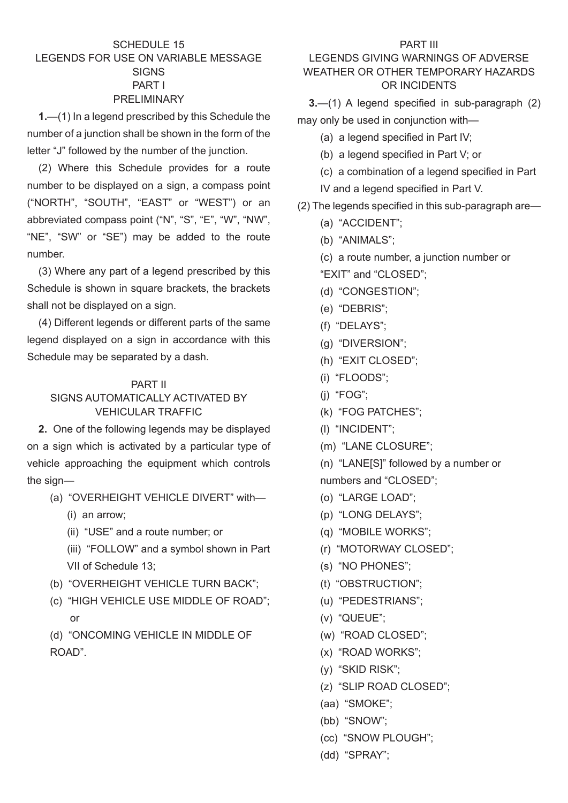#### SCHEDULE 15 LEGENDS FOR USE ON VARIABLE MESSAGE **SIGNS** PART I PRELIMINARY

**1.**—(1) In a legend prescribed by this Schedule the number of a junction shall be shown in the form of the letter "J" followed by the number of the junction.

(2) Where this Schedule provides for a route number to be displayed on a sign, a compass point ("NORTH", "SOUTH", "EAST" or "WEST") or an abbreviated compass point ("N", "S", "E", "W", "NW", "NE", "SW" or "SE") may be added to the route number.

(3) Where any part of a legend prescribed by this Schedule is shown in square brackets, the brackets shall not be displayed on a sign.

(4) Different legends or different parts of the same legend displayed on a sign in accordance with this Schedule may be separated by a dash.

#### PART II

#### SIGNS AUTOMATICALLY ACTIVATED BY VEHICULAR TRAFFIC

**2.** One of the following legends may be displayed on a sign which is activated by a particular type of vehicle approaching the equipment which controls the sign—

- (a) "OVERHEIGHT VEHICLE DIVERT" with—
	- (i) an arrow;
	- (ii) "USE" and a route number; or
	- (iii) "FOLLOW" and a symbol shown in Part VII of Schedule 13;
- (b) "OVERHEIGHT VEHICLE TURN BACK";
- (c) "HIGH VEHICLE USE MIDDLE OF ROAD"; or

(d) "ONCOMING VEHICLE IN MIDDLE OF ROAD".

#### LEGENDS GIVING WARNINGS OF ADVERSE WEATHER OR OTHER TEMPORARY HAZARDS OR INCIDENTS

**3.**—(1) A legend specified in sub-paragraph (2) may only be used in conjunction with—

- (a) a legend specified in Part IV;
- (b) a legend specified in Part V; or
- (c) a combination of a legend specified in Part
- IV and a legend specified in Part V.
- (2) The legends specified in this sub-paragraph are—
	- (a) "ACCIDENT";
	- (b) "ANIMALS";
	- (c) a route number, a junction number or
	- "EXIT" and "CLOSED";
	- (d) "CONGESTION";
	- (e) "DEBRIS";
	- (f) "DELAYS";
	- (g) "DIVERSION";
	- (h) "EXIT CLOSED";
	- (i) "FLOODS";
	- (j) "FOG";
	- (k) "FOG PATCHES";
	- (l) "INCIDENT";
	- (m) "LANE CLOSURE";
	- (n) "LANE[S]" followed by a number or numbers and "CLOSED";
	- (o) "LARGE LOAD";
	- (p) "LONG DELAYS";
	- (q) "MOBILE WORKS";
	- (r) "MOTORWAY CLOSED";
	- (s) "NO PHONES";
	- (t) "OBSTRUCTION";
	- (u) "PEDESTRIANS";
	- (v) "QUEUE";
	- (w) "ROAD CLOSED";
	- (x) "ROAD WORKS";
	- (y) "SKID RISK";
	- (z) "SLIP ROAD CLOSED";
	- (aa) "SMOKE";
	- (bb) "SNOW";
	- (cc) "SNOW PLOUGH";
	- (dd) "SPRAY";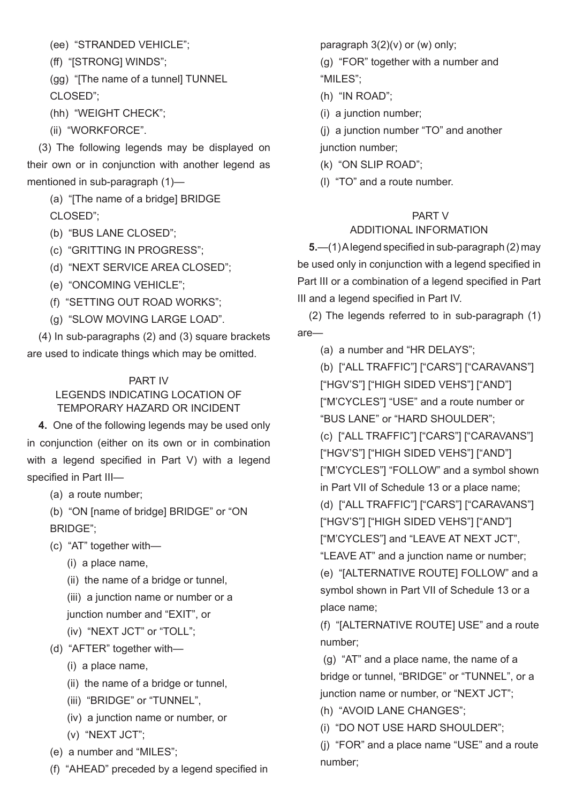(ee) "STRANDED VEHICLE";

(ff) "[STRONG] WINDS";

(gg) "[The name of a tunnel] TUNNEL CLOSED";

(hh) "WEIGHT CHECK";

(ii) "WORKFORCE".

(3) The following legends may be displayed on their own or in conjunction with another legend as mentioned in sub-paragraph (1)—

(a) "[The name of a bridge] BRIDGE CLOSED";

(b) "BUS LANE CLOSED";

(c) "GRITTING IN PROGRESS";

(d) "NEXT SERVICE AREA CLOSED";

(e) "ONCOMING VEHICLE";

(f) "SETTING OUT ROAD WORKS";

(g) "SLOW MOVING LARGE LOAD".

(4) In sub-paragraphs (2) and (3) square brackets are used to indicate things which may be omitted.

# PART IV

### LEGENDS INDICATING LOCATION OF TEMPORARY HAZARD OR INCIDENT

**4.** One of the following legends may be used only in conjunction (either on its own or in combination with a legend specified in Part V) with a legend specified in Part III-

(a) a route number;

(b) "ON [name of bridge] BRIDGE" or "ON BRIDGE";

- (c) "AT" together with—
	- (i) a place name,

(ii) the name of a bridge or tunnel,

(iii) a junction name or number or a junction number and "EXIT", or

- (iv) "NEXT JCT" or "TOLL";
- (d) "AFTER" together with—
	- (i) a place name,
	- (ii) the name of a bridge or tunnel,
	- (iii) "BRIDGE" or "TUNNEL",
	- (iv) a junction name or number, or
	- (v) "NEXT JCT";
- (e) a number and "MILES";
- (f) "AHEAD" preceded by a legend specified in

paragraph  $3(2)(v)$  or (w) only;

(g) "FOR" together with a number and "MILES";

(h) "IN ROAD";

(i) a junction number;

(j) a junction number "TO" and another junction number:

(k) "ON SLIP ROAD";

(l) "TO" and a route number.

# PART V

# ADDITIONAL INFORMATION

**5.**—(1)A legend specified in sub-paragraph (2) may be used only in conjunction with a legend specified in Part III or a combination of a legend specified in Part III and a legend specified in Part IV.

(2) The legends referred to in sub-paragraph (1) are—

(a) a number and "HR DELAYS";

(b) ["ALL TRAFFIC"] ["CARS"] ["CARAVANS"] ["HGV'S"] ["HIGH SIDED VEHS"] ["AND"] ["M'CYCLES"] "USE" and a route number or "BUS LANE" or "HARD SHOULDER"; (c) ["ALL TRAFFIC"] ["CARS"] ["CARAVANS"] ["HGV'S"] ["HIGH SIDED VEHS"] ["AND"] ["M'CYCLES"] "FOLLOW" and a symbol shown in Part VII of Schedule 13 or a place name; (d) ["ALL TRAFFIC"] ["CARS"] ["CARAVANS"] ["HGV'S"] ["HIGH SIDED VEHS"] ["AND"] ["M'CYCLES"] and "LEAVE AT NEXT JCT",

"LEAVE AT" and a junction name or number;

(e) "[ALTERNATIVE ROUTE] FOLLOW" and a symbol shown in Part VII of Schedule 13 or a place name;

(f) "[ALTERNATIVE ROUTE] USE" and a route number;

 (g) "AT" and a place name, the name of a bridge or tunnel, "BRIDGE" or "TUNNEL", or a junction name or number, or "NEXT JCT";

- (h) "AVOID LANE CHANGES";
- (i) "DO NOT USE HARD SHOULDER";

(j) "FOR" and a place name "USE" and a route number;